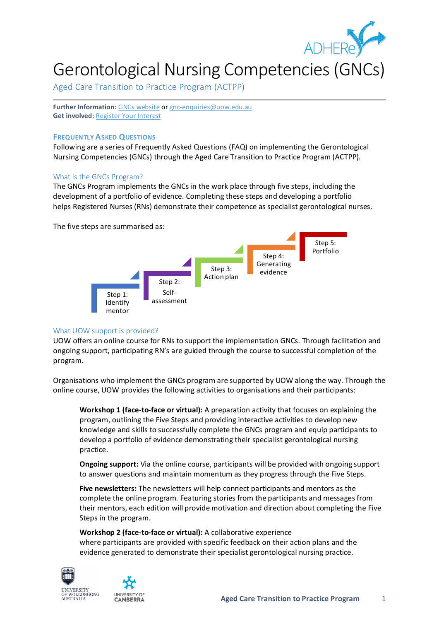

# Gerontological Nursing Competencies (GNCs)

Aged Care Transition to Practice Program (ACTPP)

**Further Information:** [GNCs website](http://www.adhere.org.au/gerontological-nursing-competencies/) o[r gnc-enquiries@uow.edu.au](mailto:gnc-enquiries@uow.edu.au) **Get involved:** [Register Your Interest](https://uow.au1.qualtrics.com/jfe/form/SV_eD1dfDGGq2sIDs2)

# **FREQUENTLY ASKED QUESTIONS**

Following are a series of Frequently Asked Questions (FAQ) on implementing the Gerontological Nursing Competencies (GNCs) through the Aged Care Transition to Practice Program (ACTPP).

# What is the GNCs Program?

The GNCs Program implements the GNCs in the work place through five steps, including the development of a portfolio of evidence. Completing these steps and developing a portfolio helps Registered Nurses (RNs) demonstrate their competence as specialist gerontological nurses.

The five steps are summarised as:



# What UOW support is provided?

UOW offers an online course for RNs to support the implementation GNCs. Through facilitation and ongoing support, participating RN's are guided through the course to successful completion of the program.

Organisations who implement the GNCs program are supported by UOW along the way. Through the online course, UOW provides the following activities to organisations and their participants:

**Workshop 1 (face-to-face or virtual):** A preparation activity that focuses on explaining the program, outlining the Five Steps and providing interactive activities to develop new knowledge and skills to successfully complete the GNCs program and equip participants to develop a portfolio of evidence demonstrating their specialist gerontological nursing practice.

**Ongoing support:** Via the online course, participants will be provided with ongoing support to answer questions and maintain momentum as they progress through the Five Steps.

**Five newsletters:** The newsletters will help connect participants and mentors as the complete the online program. Featuring stories from the participants and messages from their mentors, each edition will provide motivation and direction about completing the Five Steps in the program.

**Workshop 2 (face-to-face or virtual):** A collaborative experience where participants are provided with specific feedback on their action plans and the evidence generated to demonstrate their specialist gerontological nursing practice.



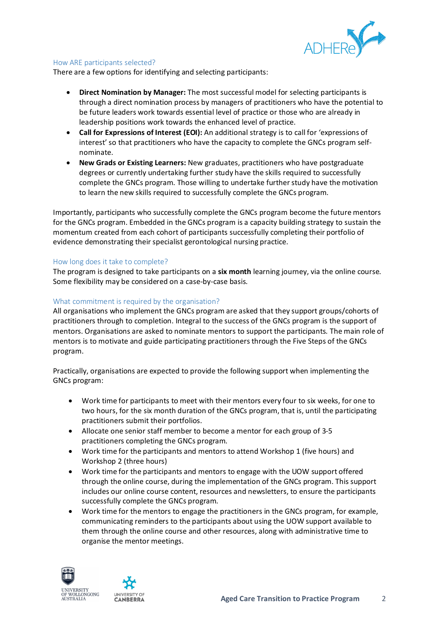

# How ARE participants selected?

There are a few options for identifying and selecting participants:

- **Direct Nomination by Manager:** The most successful model for selecting participants is through a direct nomination process by managers of practitioners who have the potential to be future leaders work towards essential level of practice or those who are already in leadership positions work towards the enhanced level of practice.
- **Call for Expressions of Interest (EOI):** An additional strategy is to call for 'expressions of interest' so that practitioners who have the capacity to complete the GNCs program selfnominate.
- **New Grads or Existing Learners:** New graduates, practitioners who have postgraduate degrees or currently undertaking further study have the skills required to successfully complete the GNCs program. Those willing to undertake further study have the motivation to learn the new skills required to successfully complete the GNCs program.

Importantly, participants who successfully complete the GNCs program become the future mentors for the GNCs program. Embedded in the GNCs program is a capacity building strategy to sustain the momentum created from each cohort of participants successfully completing their portfolio of evidence demonstrating their specialist gerontological nursing practice.

#### How long does it take to complete?

The program is designed to take participants on a **six month** learning journey, via the online course. Some flexibility may be considered on a case-by-case basis.

# What commitment is required by the organisation?

All organisations who implement the GNCs program are asked that they support groups/cohorts of practitioners through to completion. Integral to the success of the GNCs program is the support of mentors. Organisations are asked to nominate mentors to support the participants. The main role of mentors is to motivate and guide participating practitioners through the Five Steps of the GNCs program.

Practically, organisations are expected to provide the following support when implementing the GNCs program:

- Work time for participants to meet with their mentors every four to six weeks, for one to two hours, for the six month duration of the GNCs program, that is, until the participating practitioners submit their portfolios.
- Allocate one senior staff member to become a mentor for each group of 3-5 practitioners completing the GNCs program.
- Work time for the participants and mentors to attend Workshop 1 (five hours) and Workshop 2 (three hours)
- Work time for the participants and mentors to engage with the UOW support offered through the online course, during the implementation of the GNCs program. This support includes our online course content, resources and newsletters, to ensure the participants successfully complete the GNCs program.
- Work time for the mentors to engage the practitioners in the GNCs program, for example, communicating reminders to the participants about using the UOW support available to them through the online course and other resources, along with administrative time to organise the mentor meetings.



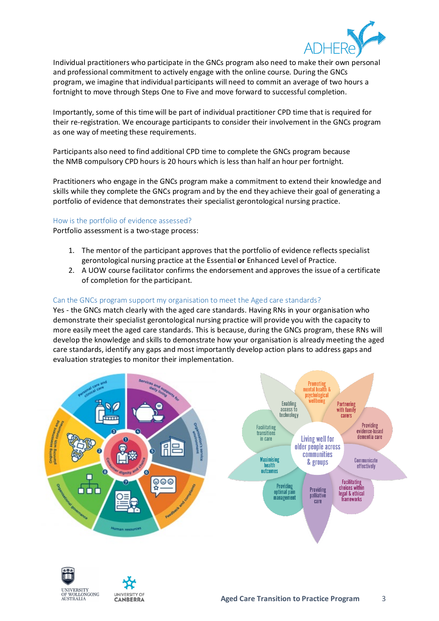

Individual practitioners who participate in the GNCs program also need to make their own personal and professional commitment to actively engage with the online course. During the GNCs program, we imagine that individual participants will need to commit an average of two hours a fortnight to move through Steps One to Five and move forward to successful completion.

Importantly, some of this time will be part of individual practitioner CPD time that is required for their re-registration. We encourage participants to consider their involvement in the GNCs program as one way of meeting these requirements.

Participants also need to find additional CPD time to complete the GNCs program because the NMB compulsory CPD hours is 20 hours which is less than half an hour per fortnight.

Practitioners who engage in the GNCs program make a commitment to extend their knowledge and skills while they complete the GNCs program and by the end they achieve their goal of generating a portfolio of evidence that demonstrates their specialist gerontological nursing practice.

#### How is the portfolio of evidence assessed?

Portfolio assessment is a two-stage process:

- 1. The mentor of the participant approves that the portfolio of evidence reflects specialist gerontological nursing practice at the Essential **or** Enhanced Level of Practice.
- 2. A UOW course facilitator confirms the endorsement and approves the issue of a certificate of completion for the participant.

# Can the GNCs program support my organisation to meet the Aged care standards?

Yes - the GNCs match clearly with the aged care standards. Having RNs in your organisation who demonstrate their specialist gerontological nursing practice will provide you with the capacity to more easily meet the aged care standards. This is because, during the GNCs program, these RNs will develop the knowledge and skills to demonstrate how your organisation is already meeting the aged care standards, identify any gaps and most importantly develop action plans to address gaps and evaluation strategies to monitor their implementation.